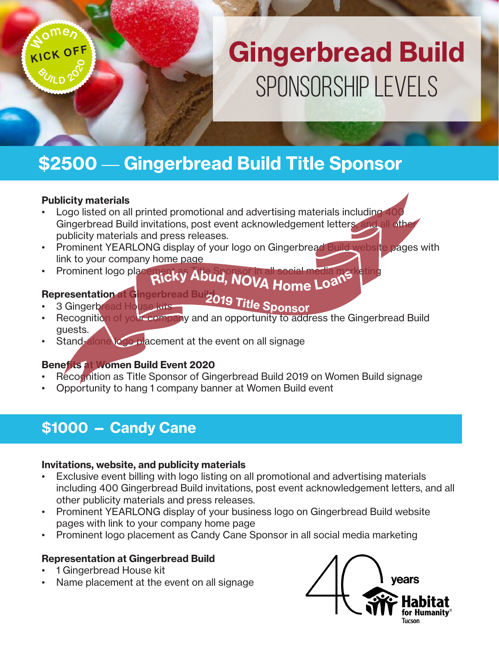## Gingerbread Build Sponsorship Levels

## \$2500 — Gingerbread Build Title Sponsor

#### Publicity materials

KICK OFF **Nomen** 

 $2^{\circ}$ 

**<sup>O</sup>ULD** 

- Logo listed on all printed promotional and advertising materials including 40 Gingerbread Build invitations, post event acknowledgement letters, and all oth publicity materials and press releases.
- Prominent YEARLONG display of your logo on Gingerbread Build website pages with link to your company home page
- Prominent logo placement as Title Sponsor in all social media marketing <sup>R</sup>ick<sup>y</sup> <sup>A</sup>bud, <sup>N</sup>OV<sup>A</sup> <sup>H</sup>om<sup>e</sup> <sup>L</sup>oan<sup>s</sup>

#### **Representation at G**ingerbread Build

- **Representational unigerbread Bur2019 Title Sponsor**<br>• 3 Gingerbread House kits
- Recognition of your company and an opportunity to address the Gingerbread Build guests.
- Stand-alone logo placement at the event on all signage

#### Benefits at Women Build Event 2020

- Recognition as Title Sponsor of Gingerbread Build 2019 on Women Build signage
- Opportunity to hang 1 company banner at Women Build event

## \$1000 — Candy Cane

#### Invitations, website, and publicity materials

- Exclusive event billing with logo listing on all promotional and advertising materials including 400 Gingerbread Build invitations, post event acknowledgement letters, and all other publicity materials and press releases.
- Prominent YEARLONG display of your business logo on Gingerbread Build website pages with link to your company home page
- Prominent logo placement as Candy Cane Sponsor in all social media marketing

#### Representation at Gingerbread Build

- 1 Gingerbread House kit
- Name placement at the event on all signage

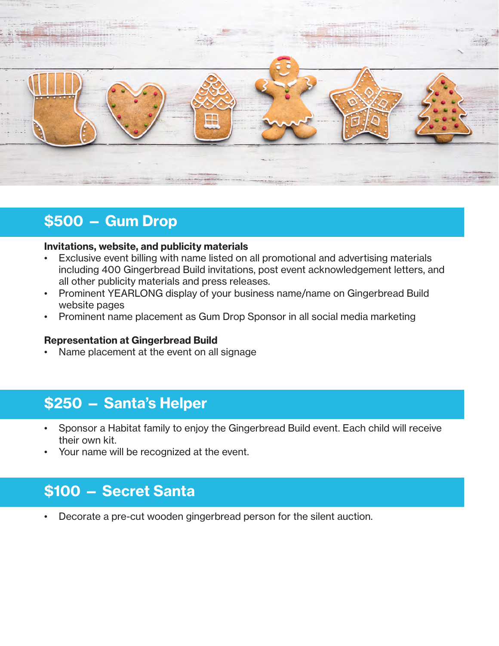

## \$500 — Gum Drop

#### Invitations, website, and publicity materials

- Exclusive event billing with name listed on all promotional and advertising materials including 400 Gingerbread Build invitations, post event acknowledgement letters, and all other publicity materials and press releases.
- Prominent YEARLONG display of your business name/name on Gingerbread Build website pages
- Prominent name placement as Gum Drop Sponsor in all social media marketing

#### Representation at Gingerbread Build

• Name placement at the event on all signage

### \$250 — Santa's Helper

- Sponsor a Habitat family to enjoy the Gingerbread Build event. Each child will receive their own kit.
- Your name will be recognized at the event.

### \$100 — Secret Santa

• Decorate a pre-cut wooden gingerbread person for the silent auction.